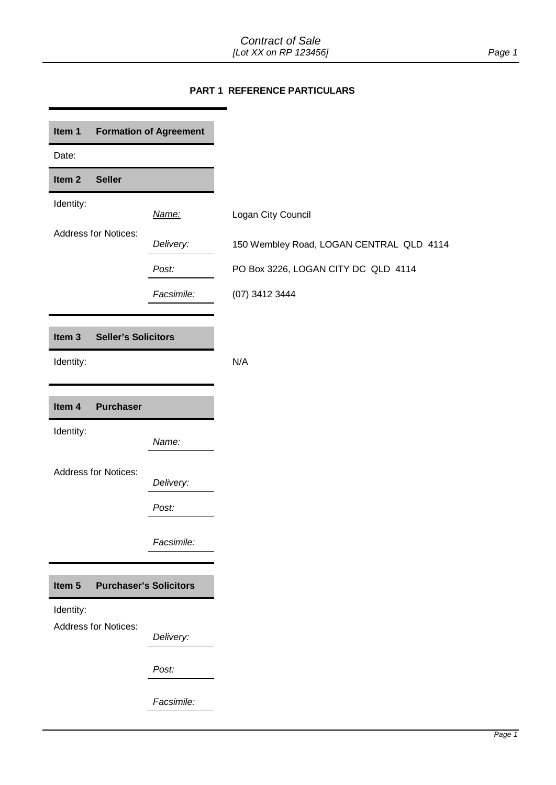## **PART 1 REFERENCE PARTICULARS**

<span id="page-0-5"></span><span id="page-0-4"></span><span id="page-0-3"></span><span id="page-0-2"></span><span id="page-0-1"></span><span id="page-0-0"></span>

| Item 1                         |                             | <b>Formation of Agreement</b> |
|--------------------------------|-----------------------------|-------------------------------|
| Date:                          |                             |                               |
| Item <sub>2</sub>              | <b>Seller</b>               |                               |
| Identity:                      |                             | Name:                         |
|                                | <b>Address for Notices:</b> | Delivery:                     |
|                                |                             | Post:                         |
|                                |                             | Facsimile:                    |
|                                |                             |                               |
| Item <sub>3</sub><br>Identity: | <b>Seller's Solicitors</b>  |                               |
| Item 4                         | <b>Purchaser</b>            |                               |
| Identity:                      |                             | Name:                         |
|                                |                             |                               |
|                                | <b>Address for Notices:</b> | Delivery:                     |
|                                |                             | Post:                         |
|                                |                             | Facsimile:                    |
|                                |                             |                               |
| Item 5                         |                             | <b>Purchaser's Solicitors</b> |
| Identity:                      | <b>Address for Notices:</b> |                               |
|                                |                             | Delivery:                     |
|                                |                             | Post:                         |
|                                |                             | Facsimile:                    |
|                                |                             |                               |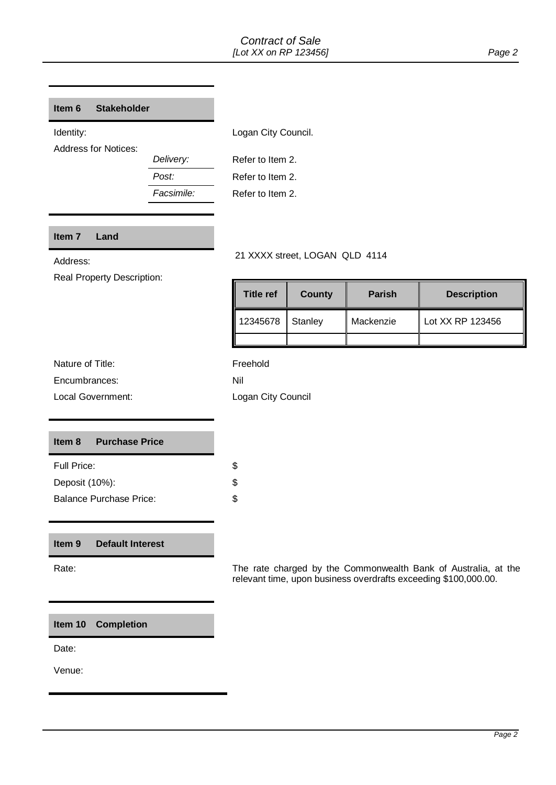#### <span id="page-1-0"></span>Item 6 **Stakeholder**

Address for Notices:

*Post:* Refer to Item 2. *Delivery:* Refer to Item 2.

Identity: **Logan City Council.** 

*Facsimile:* Refer to Item 2.

## <span id="page-1-4"></span> **Item 7 Land**

Real Property Description:

# Address: 21 XXXX street, LOGAN QLD 4114

| Title ref | County  | <b>Parish</b> | <b>Description</b> |
|-----------|---------|---------------|--------------------|
| 12345678  | Stanley | Mackenzie     | Lot XX RP 123456   |
|           |         |               |                    |

| Nature of Title: |  |
|------------------|--|
| Encumbrances:    |  |

Local Government:

Freehold Nil Logan City Council

#### <span id="page-1-1"></span>Item 8 **Purchase Price**

| Full Price:                    |  |
|--------------------------------|--|
| Deposit (10%):                 |  |
| <b>Balance Purchase Price:</b> |  |

#### <span id="page-1-3"></span>Item 9 **Default Interest**

Rate: The rate charged by the Commonwealth Bank of Australia, at the relevant time, upon business overdrafts exceeding \$100,000.00.

<span id="page-1-2"></span> **Item 10 Completion** 

Date:

Venue: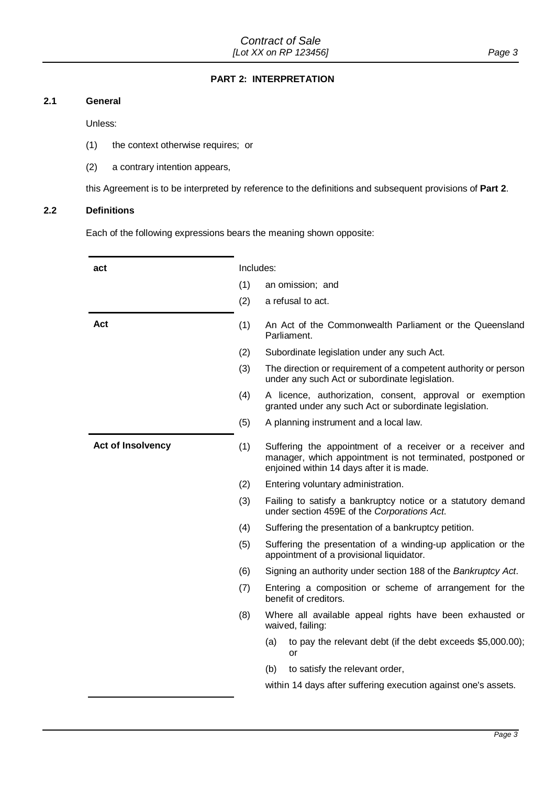## **PART 2: INTERPRETATION**

## <span id="page-2-0"></span>**2.1 General**

Unless:

- (1) the context otherwise requires; or
- (2) a contrary intention appears,

this Agreement is to be interpreted by reference to the definitions and subsequent provisions of **[Part 2](#page-2-0)**.

#### **2.2 Definitions**

Each of the following expressions bears the meaning shown opposite:

| act                      | Includes:                                                                                                                                                                   |
|--------------------------|-----------------------------------------------------------------------------------------------------------------------------------------------------------------------------|
|                          | (1)<br>an omission; and                                                                                                                                                     |
|                          | a refusal to act.<br>(2)                                                                                                                                                    |
| Act                      | (1)<br>An Act of the Commonwealth Parliament or the Queensland<br>Parliament.                                                                                               |
|                          | (2)<br>Subordinate legislation under any such Act.                                                                                                                          |
|                          | (3)<br>The direction or requirement of a competent authority or person<br>under any such Act or subordinate legislation.                                                    |
|                          | (4)<br>A licence, authorization, consent, approval or exemption<br>granted under any such Act or subordinate legislation.                                                   |
|                          | (5)<br>A planning instrument and a local law.                                                                                                                               |
| <b>Act of Insolvency</b> | (1)<br>Suffering the appointment of a receiver or a receiver and<br>manager, which appointment is not terminated, postponed or<br>enjoined within 14 days after it is made. |
|                          | (2)<br>Entering voluntary administration.                                                                                                                                   |
|                          | (3)<br>Failing to satisfy a bankruptcy notice or a statutory demand<br>under section 459E of the Corporations Act.                                                          |
|                          | (4)<br>Suffering the presentation of a bankruptcy petition.                                                                                                                 |
|                          | (5)<br>Suffering the presentation of a winding-up application or the<br>appointment of a provisional liquidator.                                                            |
|                          | Signing an authority under section 188 of the Bankruptcy Act.<br>(6)                                                                                                        |
|                          | (7)<br>Entering a composition or scheme of arrangement for the<br>benefit of creditors.                                                                                     |
|                          | Where all available appeal rights have been exhausted or<br>(8)<br>waived, failing:                                                                                         |
|                          | to pay the relevant debt (if the debt exceeds \$5,000.00);<br>(a)<br>or                                                                                                     |
|                          | to satisfy the relevant order,<br>(b)                                                                                                                                       |
|                          | within 14 days after suffering execution against one's assets.                                                                                                              |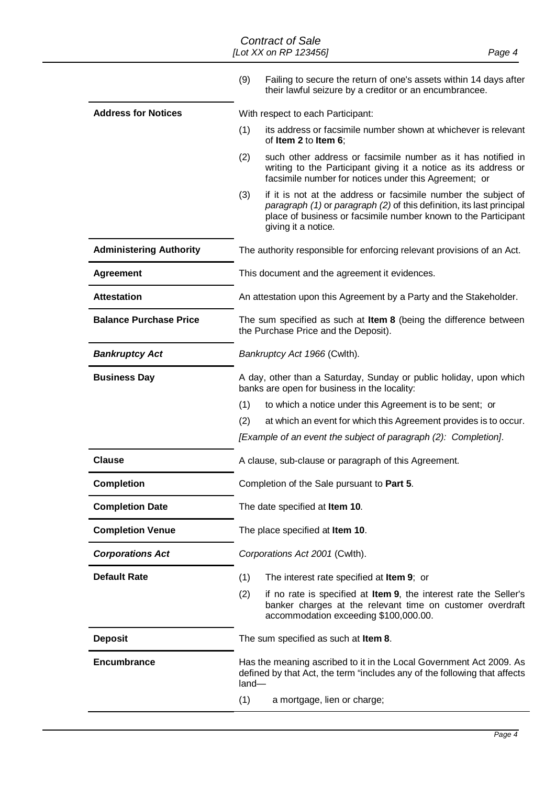#### <span id="page-3-2"></span><span id="page-3-1"></span><span id="page-3-0"></span> $\ddot{\phantom{a}}$ *Contract of Sale [Lot XX on RP 123456] Page 4*

|                                | (9)<br>Failing to secure the return of one's assets within 14 days after<br>their lawful seizure by a creditor or an encumbrancee.                                                                                                      |
|--------------------------------|-----------------------------------------------------------------------------------------------------------------------------------------------------------------------------------------------------------------------------------------|
| <b>Address for Notices</b>     | With respect to each Participant:                                                                                                                                                                                                       |
|                                | (1)<br>its address or facsimile number shown at whichever is relevant<br>of Item 2 to Item 6;                                                                                                                                           |
|                                | such other address or facsimile number as it has notified in<br>(2)<br>writing to the Participant giving it a notice as its address or<br>facsimile number for notices under this Agreement; or                                         |
|                                | (3)<br>if it is not at the address or facsimile number the subject of<br>paragraph (1) or paragraph (2) of this definition, its last principal<br>place of business or facsimile number known to the Participant<br>giving it a notice. |
| <b>Administering Authority</b> | The authority responsible for enforcing relevant provisions of an Act.                                                                                                                                                                  |
| <b>Agreement</b>               | This document and the agreement it evidences.                                                                                                                                                                                           |
| <b>Attestation</b>             | An attestation upon this Agreement by a Party and the Stakeholder.                                                                                                                                                                      |
| <b>Balance Purchase Price</b>  | The sum specified as such at Item 8 (being the difference between<br>the Purchase Price and the Deposit).                                                                                                                               |
| <b>Bankruptcy Act</b>          | Bankruptcy Act 1966 (Cwlth).                                                                                                                                                                                                            |
| <b>Business Day</b>            | A day, other than a Saturday, Sunday or public holiday, upon which<br>banks are open for business in the locality:                                                                                                                      |
|                                | (1)<br>to which a notice under this Agreement is to be sent; or                                                                                                                                                                         |
|                                | (2)<br>at which an event for which this Agreement provides is to occur.                                                                                                                                                                 |
|                                | [Example of an event the subject of paragraph (2): Completion].                                                                                                                                                                         |
| <b>Clause</b>                  | A clause, sub-clause or paragraph of this Agreement.                                                                                                                                                                                    |
| <b>Completion</b>              | Completion of the Sale pursuant to Part 5.                                                                                                                                                                                              |
| <b>Completion Date</b>         | The date specified at Item 10.                                                                                                                                                                                                          |
| <b>Completion Venue</b>        | The place specified at Item 10.                                                                                                                                                                                                         |
| <b>Corporations Act</b>        | Corporations Act 2001 (Cwlth).                                                                                                                                                                                                          |
| <b>Default Rate</b>            | (1)<br>The interest rate specified at Item 9; or                                                                                                                                                                                        |
|                                | if no rate is specified at Item 9, the interest rate the Seller's<br>(2)<br>banker charges at the relevant time on customer overdraft<br>accommodation exceeding \$100,000.00.                                                          |
| <b>Deposit</b>                 | The sum specified as such at Item 8.                                                                                                                                                                                                    |
| <b>Encumbrance</b>             | Has the meaning ascribed to it in the Local Government Act 2009. As<br>defined by that Act, the term "includes any of the following that affects<br>land-                                                                               |
|                                | (1)<br>a mortgage, lien or charge;                                                                                                                                                                                                      |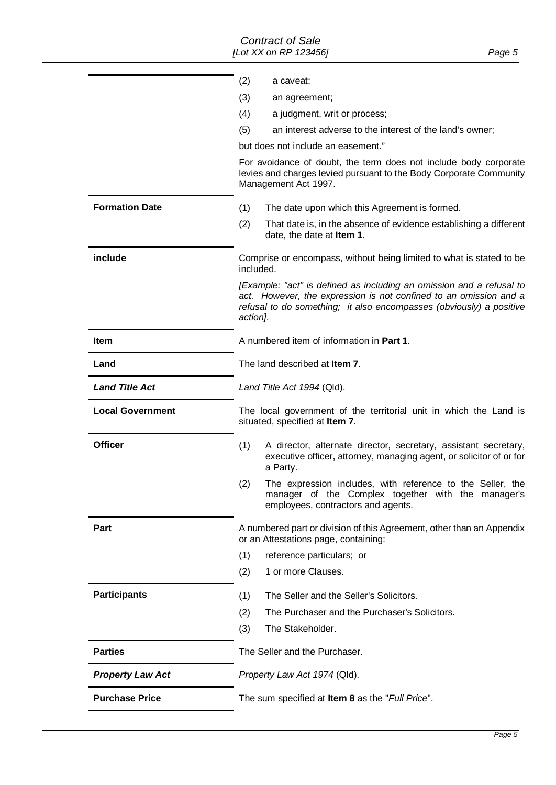|                         | (2)<br>a caveat;                                                                                                                                                                                                             |
|-------------------------|------------------------------------------------------------------------------------------------------------------------------------------------------------------------------------------------------------------------------|
|                         | (3)<br>an agreement;                                                                                                                                                                                                         |
|                         | (4)<br>a judgment, writ or process;                                                                                                                                                                                          |
|                         | (5)<br>an interest adverse to the interest of the land's owner;                                                                                                                                                              |
|                         | but does not include an easement."                                                                                                                                                                                           |
|                         | For avoidance of doubt, the term does not include body corporate<br>levies and charges levied pursuant to the Body Corporate Community<br>Management Act 1997.                                                               |
| <b>Formation Date</b>   | (1)<br>The date upon which this Agreement is formed.                                                                                                                                                                         |
|                         | (2)<br>That date is, in the absence of evidence establishing a different<br>date, the date at Item 1.                                                                                                                        |
| include                 | Comprise or encompass, without being limited to what is stated to be<br>included.                                                                                                                                            |
|                         | [Example: "act" is defined as including an omission and a refusal to<br>act. However, the expression is not confined to an omission and a<br>refusal to do something; it also encompasses (obviously) a positive<br>action]. |
| Item                    | A numbered item of information in <b>Part 1.</b>                                                                                                                                                                             |
| Land                    | The land described at <b>Item 7</b> .                                                                                                                                                                                        |
| <b>Land Title Act</b>   | Land Title Act 1994 (Qld).                                                                                                                                                                                                   |
| <b>Local Government</b> | The local government of the territorial unit in which the Land is<br>situated, specified at Item 7.                                                                                                                          |
| <b>Officer</b>          | (1)<br>A director, alternate director, secretary, assistant secretary,<br>executive officer, attorney, managing agent, or solicitor of or for<br>a Party.                                                                    |
|                         | The expression includes, with reference to the Seller, the<br>(2)<br>manager of the Complex together with the manager's<br>employees, contractors and agents.                                                                |
| Part                    | A numbered part or division of this Agreement, other than an Appendix<br>or an Attestations page, containing:                                                                                                                |
|                         | (1)<br>reference particulars; or                                                                                                                                                                                             |
|                         | 1 or more Clauses.<br>(2)                                                                                                                                                                                                    |
| <b>Participants</b>     | The Seller and the Seller's Solicitors.<br>(1)                                                                                                                                                                               |
|                         | The Purchaser and the Purchaser's Solicitors.<br>(2)                                                                                                                                                                         |
|                         | (3)<br>The Stakeholder.                                                                                                                                                                                                      |
| <b>Parties</b>          | The Seller and the Purchaser.                                                                                                                                                                                                |
| <b>Property Law Act</b> | Property Law Act 1974 (Qld).                                                                                                                                                                                                 |
| <b>Purchase Price</b>   | The sum specified at Item 8 as the "Full Price".                                                                                                                                                                             |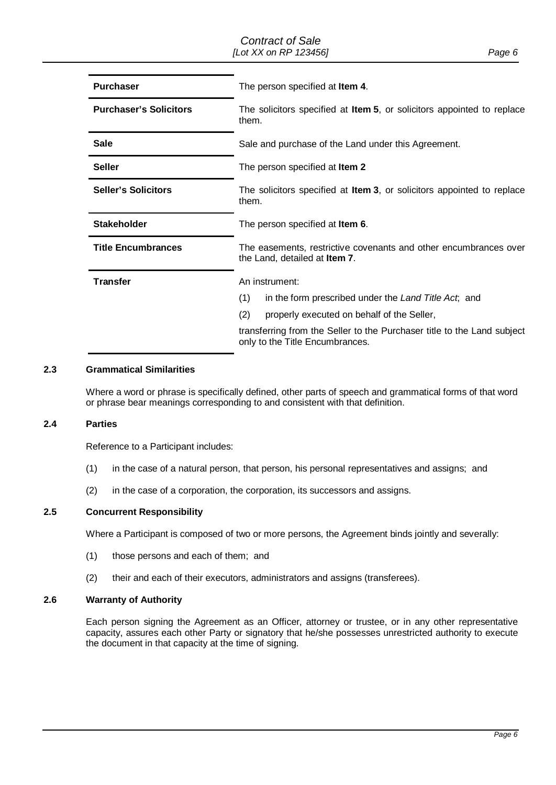| <b>Purchaser</b>              | The person specified at Item 4.                                                                            |
|-------------------------------|------------------------------------------------------------------------------------------------------------|
| <b>Purchaser's Solicitors</b> | The solicitors specified at <b>Item 5</b> , or solicitors appointed to replace<br>them.                    |
| <b>Sale</b>                   | Sale and purchase of the Land under this Agreement.                                                        |
| <b>Seller</b>                 | The person specified at Item 2                                                                             |
| <b>Seller's Solicitors</b>    | The solicitors specified at Item 3, or solicitors appointed to replace<br>them.                            |
| <b>Stakeholder</b>            | The person specified at Item 6.                                                                            |
| <b>Title Encumbrances</b>     | The easements, restrictive covenants and other encumbrances over<br>the Land, detailed at Item 7.          |
| <b>Transfer</b>               | An instrument:                                                                                             |
|                               | in the form prescribed under the Land Title Act, and<br>(1)                                                |
|                               | (2)<br>properly executed on behalf of the Seller,                                                          |
|                               | transferring from the Seller to the Purchaser title to the Land subject<br>only to the Title Encumbrances. |

#### **2.3 Grammatical Similarities**

Where a word or phrase is specifically defined, other parts of speech and grammatical forms of that word or phrase bear meanings corresponding to and consistent with that definition.

## **2.4 Parties**

Reference to a Participant includes:

- (1) in the case of a natural person, that person, his personal representatives and assigns; and
- (2) in the case of a corporation, the corporation, its successors and assigns.

#### **2.5 Concurrent Responsibility**

Where a Participant is composed of two or more persons, the Agreement binds jointly and severally:

- (1) those persons and each of them; and
- (2) their and each of their executors, administrators and assigns (transferees).

#### **2.6 Warranty of Authority**

 capacity, assures each other Party or signatory that he/she possesses unrestricted authority to execute Each person signing the Agreement as an Officer, attorney or trustee, or in any other representative the document in that capacity at the time of signing.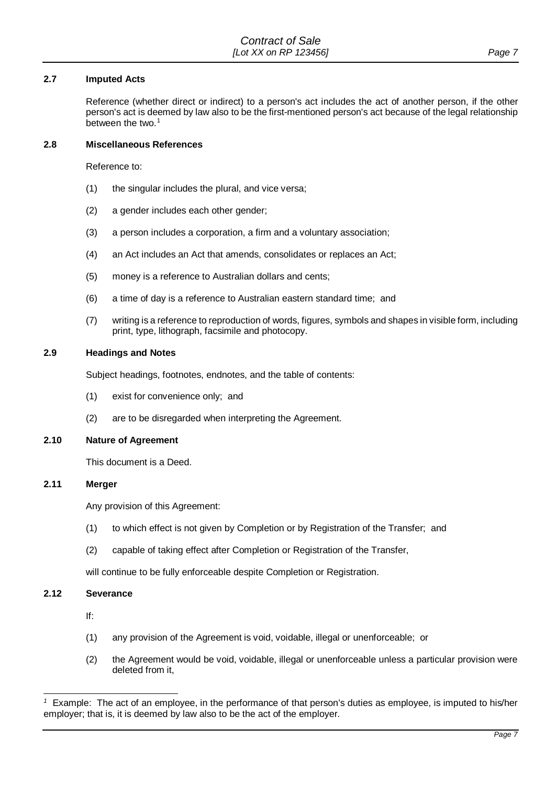#### **2.7 Imputed Acts**

 Reference (whether direct or indirect) to a person's act includes the act of another person, if the other person's act is deemed by law also to be the first-mentioned person's act because of the legal relationship between the two. $1$ 

## **2.8 Miscellaneous References**

Reference to:

- (1) the singular includes the plural, and vice versa;
- (2) a gender includes each other gender;
- (3) a person includes a corporation, a firm and a voluntary association;
- (4) an Act includes an Act that amends, consolidates or replaces an Act;
- (5) money is a reference to Australian dollars and cents;
- (6) a time of day is a reference to Australian eastern standard time; and
- print, type, lithograph, facsimile and photocopy. (7) writing is a reference to reproduction of words, figures, symbols and shapes in visible form, including

#### **2.9 Headings and Notes**

Subject headings, footnotes, endnotes, and the table of contents:

- (1) exist for convenience only; and
- (2) are to be disregarded when interpreting the Agreement.

#### **2.10 Nature of Agreement**

This document is a Deed.

#### **2.11 Merger**

Any provision of this Agreement:

- (1) to which effect is not given by Completion or by Registration of the Transfer; and
- (2) capable of taking effect after Completion or Registration of the Transfer,

will continue to be fully enforceable despite Completion or Registration.

#### **2.12 Severance**

If:

-

- (1) any provision of the Agreement is void, voidable, illegal or unenforceable; or
- (2) the Agreement would be void, voidable, illegal or unenforceable unless a particular provision were deleted from it,

<span id="page-6-0"></span> employer; that is, it is deemed by law also to be the act of the employer. *<sup>1</sup>*Example: The act of an employee, in the performance of that person's duties as employee, is imputed to his/her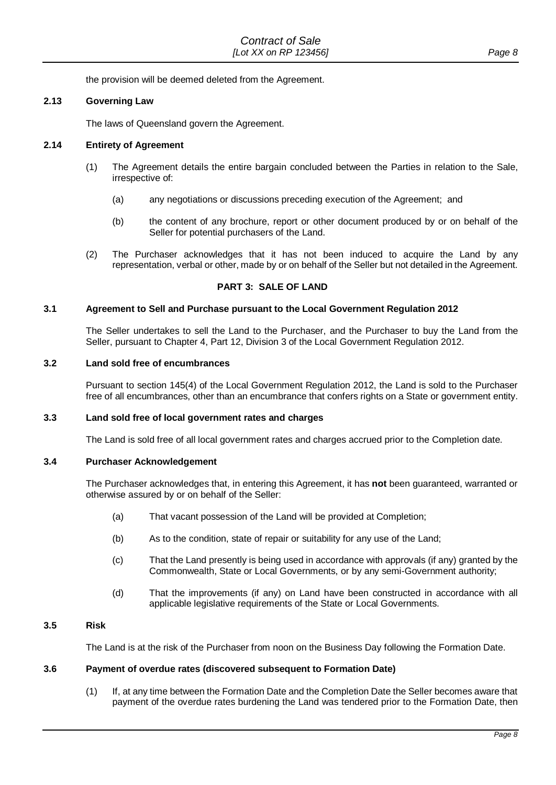the provision will be deemed deleted from the Agreement.

## **2.13 Governing Law**

The laws of Queensland govern the Agreement.

#### **2.14 Entirety of Agreement**

- (1) The Agreement details the entire bargain concluded between the Parties in relation to the Sale, irrespective of:
	- (a) any negotiations or discussions preceding execution of the Agreement; and
	- (b) the content of any brochure, report or other document produced by or on behalf of the Seller for potential purchasers of the Land.
- (2) The Purchaser acknowledges that it has not been induced to acquire the Land by any representation, verbal or other, made by or on behalf of the Seller but not detailed in the Agreement.

## **PART 3: SALE OF LAND**

## **3.1 Agreement to Sell and Purchase pursuant to the Local Government Regulation 2012**

 The Seller undertakes to sell the Land to the Purchaser, and the Purchaser to buy the Land from the Seller, pursuant to Chapter 4, Part 12, Division 3 of the Local Government Regulation 2012.

### **3.2 Land sold free of encumbrances**

 Pursuant to section 145(4) of the Local Government Regulation 2012, the Land is sold to the Purchaser free of all encumbrances, other than an encumbrance that confers rights on a State or government entity.

## **3.3 Land sold free of local government rates and charges**

The Land is sold free of all local government rates and charges accrued prior to the Completion date.

#### **3.4 Purchaser Acknowledgement**

 The Purchaser acknowledges that, in entering this Agreement, it has **not** been guaranteed, warranted or otherwise assured by or on behalf of the Seller:

- (a) That vacant possession of the Land will be provided at Completion;
- (b) As to the condition, state of repair or suitability for any use of the Land;
- (c) That the Land presently is being used in accordance with approvals (if any) granted by the Commonwealth, State or Local Governments, or by any semi-Government authority;
- (d) That the improvements (if any) on Land have been constructed in accordance with all applicable legislative requirements of the State or Local Governments.

#### **3.5 Risk**

The Land is at the risk of the Purchaser from noon on the Business Day following the Formation Date.

#### **3.6 Payment of overdue rates (discovered subsequent to Formation Date)**

 payment of the overdue rates burdening the Land was tendered prior to the Formation Date, then (1) If, at any time between the Formation Date and the Completion Date the Seller becomes aware that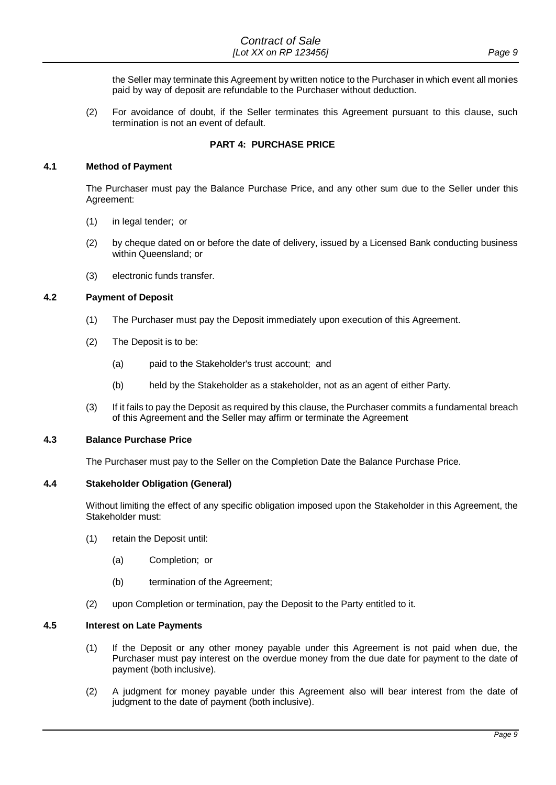the Seller may terminate this Agreement by written notice to the Purchaser in which event all monies paid by way of deposit are refundable to the Purchaser without deduction.

 (2) For avoidance of doubt, if the Seller terminates this Agreement pursuant to this clause, such termination is not an event of default.

#### **PART 4: PURCHASE PRICE**

#### **4.1 Method of Payment**

 The Purchaser must pay the Balance Purchase Price, and any other sum due to the Seller under this Agreement:

- (1) in legal tender; or
- (2) by cheque dated on or before the date of delivery, issued by a Licensed Bank conducting business within Queensland; or
- (3) electronic funds transfer.

## **4.2 Payment of Deposit**

- (1) The Purchaser must pay the Deposit immediately upon execution of this Agreement.
- (2) The Deposit is to be:
	- (a) paid to the Stakeholder's trust account; and
	- (b) held by the Stakeholder as a stakeholder, not as an agent of either Party.
- (3) If it fails to pay the Deposit as required by this clause, the Purchaser commits a fundamental breach of this Agreement and the Seller may affirm or terminate the Agreement

#### **4.3 Balance Purchase Price**

The Purchaser must pay to the Seller on the Completion Date the Balance Purchase Price.

#### **4.4 Stakeholder Obligation (General)**

Without limiting the effect of any specific obligation imposed upon the Stakeholder in this Agreement, the Stakeholder must:

- (1) retain the Deposit until:
	- (a) Completion; or
	- (b) termination of the Agreement;
- (2) upon Completion or termination, pay the Deposit to the Party entitled to it.

#### **4.5 Interest on Late Payments**

- Purchaser must pay interest on the overdue money from the due date for payment to the date of (1) If the Deposit or any other money payable under this Agreement is not paid when due, the payment (both inclusive).
- (2) A judgment for money payable under this Agreement also will bear interest from the date of judgment to the date of payment (both inclusive).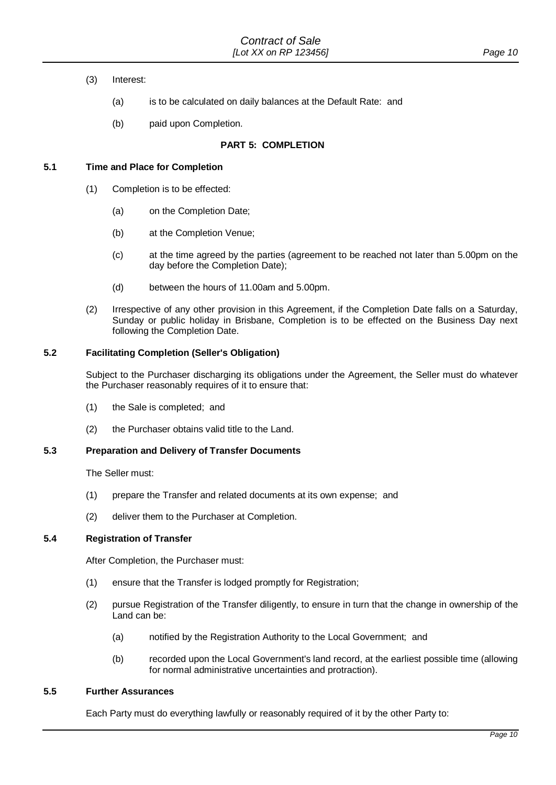- $(3)$ Interest:
	- (a) is to be calculated on daily balances at the Default Rate: and
	- (b) paid upon Completion.

## **PART 5: COMPLETION**

## <span id="page-9-0"></span>**5.1 Time and Place for Completion**

- (1) Completion is to be effected:
	- (a) on the Completion Date;
	- (b) at the Completion Venue;
	- (c) at the time agreed by the parties (agreement to be reached not later than 5.00pm on the day before the Completion Date);
	- (d) between the hours of 11.00am and 5.00pm.
- Sunday or public holiday in Brisbane, Completion is to be effected on the Business Day next (2) Irrespective of any other provision in this Agreement, if the Completion Date falls on a Saturday, following the Completion Date.

## **5.2 Facilitating Completion (Seller's Obligation)**

 Subject to the Purchaser discharging its obligations under the Agreement, the Seller must do whatever the Purchaser reasonably requires of it to ensure that:

- (1) the Sale is completed; and
- (2) the Purchaser obtains valid title to the Land.

## **5.3 Preparation and Delivery of Transfer Documents**

The Seller must:

- (1) prepare the Transfer and related documents at its own expense; and
- (2) deliver them to the Purchaser at Completion.

#### **5.4 Registration of Transfer**

After Completion, the Purchaser must:

- (1) ensure that the Transfer is lodged promptly for Registration;
- (2) pursue Registration of the Transfer diligently, to ensure in turn that the change in ownership of the Land can be:
	- (a) notified by the Registration Authority to the Local Government; and
	- (b) recorded upon the Local Government's land record, at the earliest possible time (allowing for normal administrative uncertainties and protraction).

## **5.5 Further Assurances**

Each Party must do everything lawfully or reasonably required of it by the other Party to: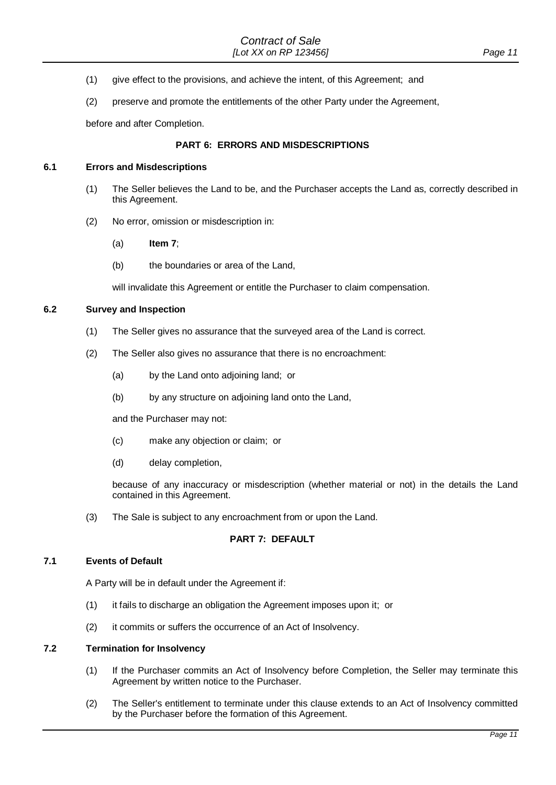- (1) give effect to the provisions, and achieve the intent, of this Agreement; and
- (2) preserve and promote the entitlements of the other Party under the Agreement,

before and after Completion.

## **PART 6: ERRORS AND MISDESCRIPTIONS**

#### **6.1 Errors and Misdescriptions**

- (1) The Seller believes the Land to be, and the Purchaser accepts the Land as, correctly described in this Agreement.
- (2) No error, omission or misdescription in:
	- (a) **[Item 7](#page-1-4)**;
	- (b) the boundaries or area of the Land,

will invalidate this Agreement or entitle the Purchaser to claim compensation.

#### **6.2 Survey and Inspection**

- (1) The Seller gives no assurance that the surveyed area of the Land is correct.
- (2) The Seller also gives no assurance that there is no encroachment:
	- (a) by the Land onto adjoining land; or
	- (b) by any structure on adjoining land onto the Land,

and the Purchaser may not:

- (c) make any objection or claim; or
- (d) delay completion,

 because of any inaccuracy or misdescription (whether material or not) in the details the Land contained in this Agreement.

(3) The Sale is subject to any encroachment from or upon the Land.

#### **PART 7: DEFAULT**

## **7.1 Events of Default**

A Party will be in default under the Agreement if:

- (1) it fails to discharge an obligation the Agreement imposes upon it; or
- (2) it commits or suffers the occurrence of an Act of Insolvency.

## **7.2 Termination for Insolvency**

- (1) If the Purchaser commits an Act of Insolvency before Completion, the Seller may terminate this Agreement by written notice to the Purchaser.
- (2) The Seller's entitlement to terminate under this clause extends to an Act of Insolvency committed by the Purchaser before the formation of this Agreement.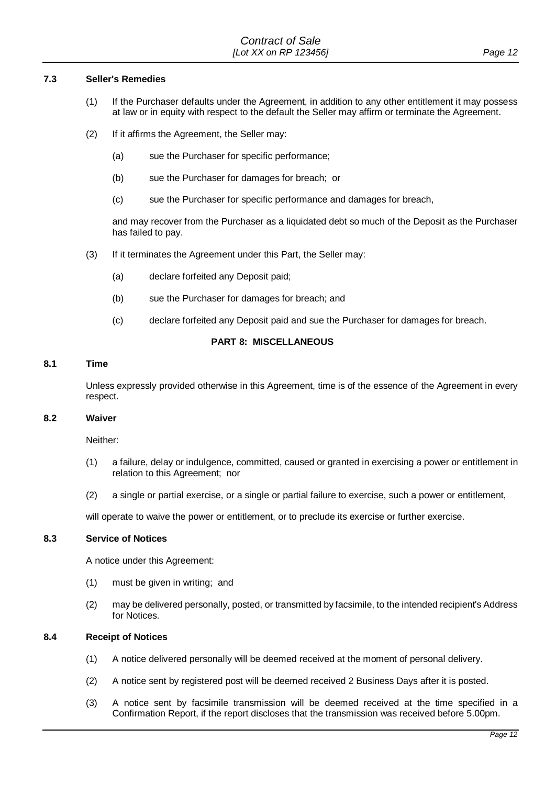## **7.3 Seller's Remedies**

- (1) If the Purchaser defaults under the Agreement, in addition to any other entitlement it may possess at law or in equity with respect to the default the Seller may affirm or terminate the Agreement.
- (2) If it affirms the Agreement, the Seller may:
	- (a) sue the Purchaser for specific performance;
	- (b) sue the Purchaser for damages for breach; or
	- (c) sue the Purchaser for specific performance and damages for breach,

and may recover from the Purchaser as a liquidated debt so much of the Deposit as the Purchaser has failed to pay.

- (3) If it terminates the Agreement under this Part, the Seller may:
	- (a) declare forfeited any Deposit paid;
	- (b) sue the Purchaser for damages for breach; and
	- (c) declare forfeited any Deposit paid and sue the Purchaser for damages for breach.

## **PART 8: MISCELLANEOUS**

#### **8.1 Time**

 Unless expressly provided otherwise in this Agreement, time is of the essence of the Agreement in every respect.

## **8.2 Waiver**

Neither:

- (1) a failure, delay or indulgence, committed, caused or granted in exercising a power or entitlement in relation to this Agreement; nor
- (2) a single or partial exercise, or a single or partial failure to exercise, such a power or entitlement,

will operate to waive the power or entitlement, or to preclude its exercise or further exercise.

## **8.3 Service of Notices**

A notice under this Agreement:

- (1) must be given in writing; and
- (2) may be delivered personally, posted, or transmitted by facsimile, to the intended recipient's Address for Notices.

## **8.4 Receipt of Notices**

- (1) A notice delivered personally will be deemed received at the moment of personal delivery.
- (2) A notice sent by registered post will be deemed received 2 Business Days after it is posted.
- (3) A notice sent by facsimile transmission will be deemed received at the time specified in a Confirmation Report, if the report discloses that the transmission was received before 5.00pm.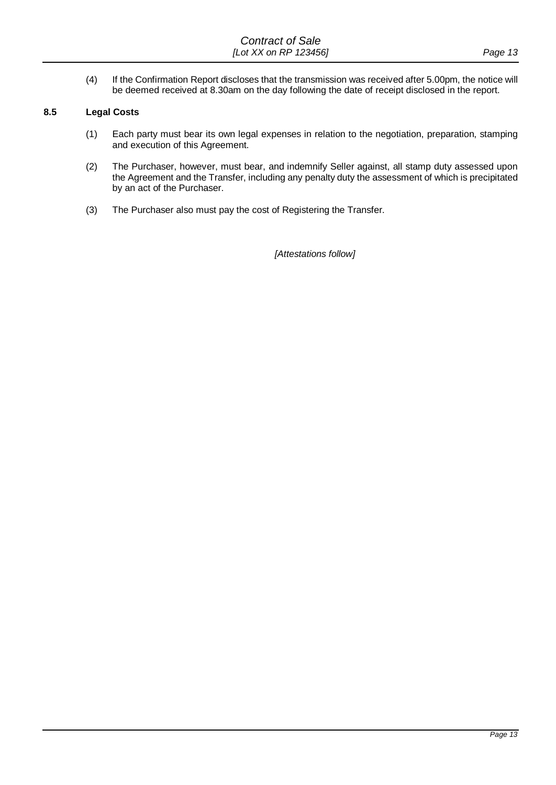(4) If the Confirmation Report discloses that the transmission was received after 5.00pm, the notice will be deemed received at 8.30am on the day following the date of receipt disclosed in the report.

#### **8.5 Legal Costs**

- (1) Each party must bear its own legal expenses in relation to the negotiation, preparation, stamping and execution of this Agreement.
- (2) The Purchaser, however, must bear, and indemnify Seller against, all stamp duty assessed upon the Agreement and the Transfer, including any penalty duty the assessment of which is precipitated by an act of the Purchaser.
- (3) The Purchaser also must pay the cost of Registering the Transfer.

*[Attestations follow]*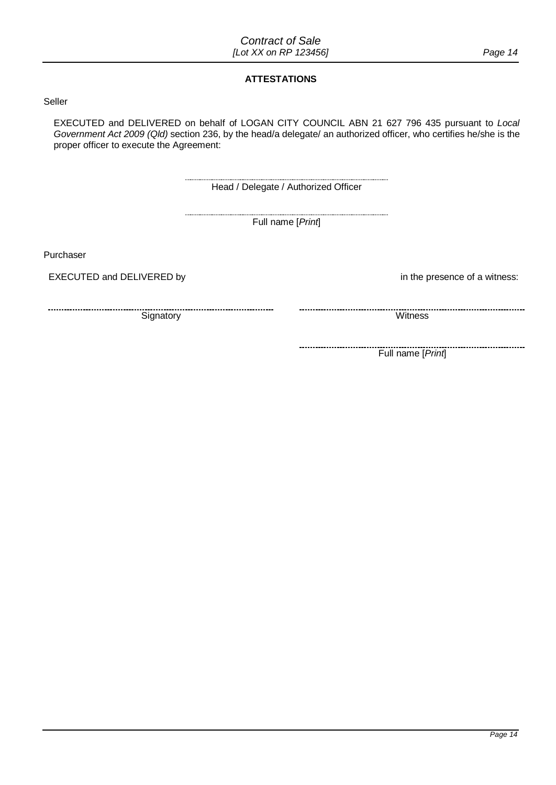## **ATTESTATIONS**

## Seller

 *Government Act 2009 (Qld)* section 236, by the head/a delegate/ an authorized officer, who certifies he/she is the EXECUTED and DELIVERED on behalf of LOGAN CITY COUNCIL ABN 21 627 796 435 pursuant to *Local*  proper officer to execute the Agreement:

Head / Delegate / Authorized Officer

-------------------------

Purchaser

---------------------------

EXECUTED and DELIVERED by Full name [*Print*]<br>'urchaser<br>EXECUTED and DELIVERED by

Signatory Witness

in the presence of a witness:

--------------------------

Full name [*Print*]